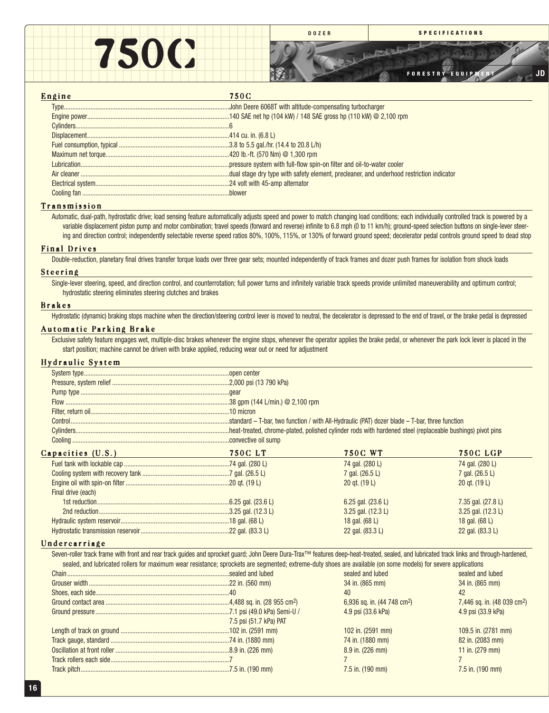

**DOZER SPECIFICATIONS**

المتبادي ساريان

**FORESTRY EQUIPMENT JD**

# Engine 750C

#### Transmission

Automatic, dual-path, hydrostatic drive; load sensing feature automatically adjusts speed and power to match changing load conditions; each individually controlled track is powered by a variable displacement piston pump and motor combination; travel speeds (forward and reverse) infinite to 6.8 mph (0 to 11 km/h); ground-speed selection buttons on single-lever steering and direction control; independently selectable reverse speed ratios 80%, 100%, 115%, or 130% of forward ground speed; decelerator pedal controls ground speed to dead stop

#### Final Drives

Double-reduction, planetary final drives transfer torque loads over three gear sets; mounted independently of track frames and dozer push frames for isolation from shock loads

#### Steering

Single-lever steering, speed, and direction control, and counterrotation; full power turns and infinitely variable track speeds provide unlimited maneuverability and optimum control; hydrostatic steering eliminates steering clutches and brakes

#### Brakes

Hydrostatic (dynamic) braking stops machine when the direction/steering control lever is moved to neutral, the decelerator is depressed to the end of travel, or the brake pedal is depressed

## Automatic Parking Brake

Exclusive safety feature engages wet, multiple-disc brakes whenever the engine stops, whenever the operator applies the brake pedal, or whenever the park lock lever is placed in the start position; machine cannot be driven with brake applied, reducing wear out or need for adjustment

# Hydraulic System

|                    | <b>750CLT</b> | <b>750C WT</b>               | <b>750C LGP</b>      |  |  |
|--------------------|---------------|------------------------------|----------------------|--|--|
| Capacities (U.S.)  |               | 74 gal. (280 L)              | 74 gal. (280 L)      |  |  |
|                    |               | 7 gal. (26.5 L)              | 7 gal. (26.5 L)      |  |  |
|                    |               | 20 gt. $(19 L)$              | 20 gt. $(19 L)$      |  |  |
| Final drive (each) |               |                              |                      |  |  |
|                    |               | 6.25 gal. $(23.6 \text{ L})$ | 7.35 gal. $(27.8 L)$ |  |  |
|                    |               | $3.25$ gal. $(12.3 L)$       | 3.25 gal. (12.3 L)   |  |  |

#### Undercarriage

Seven-roller track frame with front and rear track guides and sprocket guard; John Deere Dura-Trax™ features deep-heat-treated, sealed, and lubricated track links and through-hardened, sealed, and lubricated rollers for maximum wear resistance; sprockets are segmented; extreme-duty shoes are available (on some models) for severe applications

Hydrostatic transmission reservoir.....................................................22 gal. (83.3 L) 22 gal. (83.3 L) 22 gal. (83.3 L)

|                        | sealed and lubed                        | sealed and lubed                        |
|------------------------|-----------------------------------------|-----------------------------------------|
|                        | 34 in. (865 mm)                         | 34 in. (865 mm)                         |
|                        | 40                                      |                                         |
|                        | 6,936 sq. in. (44 748 cm <sup>2</sup> ) | 7,446 sq. in. (48 039 cm <sup>2</sup> ) |
|                        | 4.9 psi (33.6 kPa)                      | 4.9 psi (33.9 kPa)                      |
| 7.5 psi (51.7 kPa) PAT |                                         |                                         |
|                        | 102 in. (2591 mm)                       | 109.5 in. (2781 mm)                     |
|                        | 74 in. (1880 mm)                        | 82 in. (2083 mm)                        |
|                        | 8.9 in. (226 mm)                        | 11 in. (279 mm)                         |
|                        |                                         |                                         |
|                        | $7.5$ in. $(190$ mm)                    | 7.5 in. (190 mm)                        |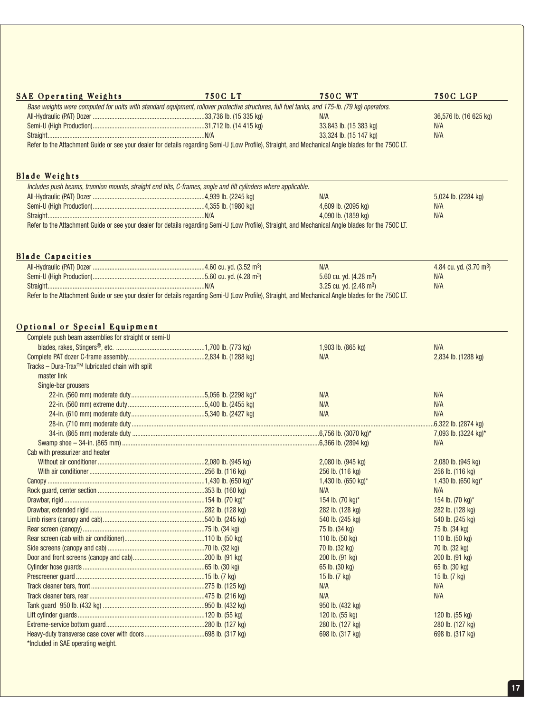| <b>SAE Operating Weights</b>                                                                                                                        | <b>750CLT</b> | <b>750C WT</b>                      | <b>750C LGP</b>                     |
|-----------------------------------------------------------------------------------------------------------------------------------------------------|---------------|-------------------------------------|-------------------------------------|
| Base weights were computed for units with standard equipment, rollover protective structures, full fuel tanks, and 175-lb. (79 kg) operators.       |               |                                     |                                     |
|                                                                                                                                                     |               | N/A                                 | 36,576 lb. (16 625 kg)              |
|                                                                                                                                                     |               | 33,843 lb. (15 383 kg)              | N/A                                 |
|                                                                                                                                                     |               | 33,324 lb. (15 147 kg)              | N/A                                 |
| Refer to the Attachment Guide or see your dealer for details regarding Semi-U (Low Profile), Straight, and Mechanical Angle blades for the 750C LT. |               |                                     |                                     |
| <b>Blade Weights</b>                                                                                                                                |               |                                     |                                     |
| Includes push beams, trunnion mounts, straight end bits, C-frames, angle and tilt cylinders where applicable.                                       |               |                                     |                                     |
|                                                                                                                                                     |               | N/A                                 | 5,024 lb. (2284 kg)                 |
|                                                                                                                                                     |               | 4,609 lb. (2095 kg)                 | N/A                                 |
|                                                                                                                                                     |               | 4,090 lb. (1859 kg)                 | N/A                                 |
| Refer to the Attachment Guide or see your dealer for details regarding Semi-U (Low Profile), Straight, and Mechanical Angle blades for the 750C LT. |               |                                     |                                     |
|                                                                                                                                                     |               |                                     |                                     |
| <b>Blade Capacities</b>                                                                                                                             |               |                                     |                                     |
|                                                                                                                                                     |               | N/A                                 | 4.84 cu. yd. (3.70 m <sup>3</sup> ) |
|                                                                                                                                                     |               | 5.60 cu. yd. (4.28 m <sup>3</sup> ) | N/A                                 |
|                                                                                                                                                     |               | 3.25 cu. yd. $(2.48 \text{ m}^3)$   | N/A                                 |
| Refer to the Attachment Guide or see your dealer for details regarding Semi-U (Low Profile), Straight, and Mechanical Angle blades for the 750C LT. |               |                                     |                                     |
|                                                                                                                                                     |               |                                     |                                     |
| Optional or Special Equipment                                                                                                                       |               |                                     |                                     |
| Complete push beam assemblies for straight or semi-U                                                                                                |               |                                     |                                     |
|                                                                                                                                                     |               | 1,903 lb. (865 kg)                  | N/A                                 |
|                                                                                                                                                     |               | N/A                                 | 2,834 lb. (1288 kg)                 |
| Tracks - Dura-Trax <sup>™</sup> lubricated chain with split                                                                                         |               |                                     |                                     |
| master link                                                                                                                                         |               |                                     |                                     |
| Single-bar grousers                                                                                                                                 |               |                                     |                                     |
|                                                                                                                                                     |               | N/A                                 | N/A                                 |
|                                                                                                                                                     |               | N/A                                 | N/A                                 |
|                                                                                                                                                     |               | N/A                                 | N/A                                 |
|                                                                                                                                                     |               |                                     | 6,322 lb. (2874 kg)                 |
|                                                                                                                                                     |               |                                     | 7,093 lb. (3224 kg)*                |
|                                                                                                                                                     |               |                                     | N/A                                 |
| Cab with pressurizer and heater                                                                                                                     |               |                                     |                                     |
|                                                                                                                                                     |               |                                     |                                     |
|                                                                                                                                                     |               | 2,080 lb. (945 kg)                  | 2,080 lb. (945 kg)                  |
|                                                                                                                                                     |               | 256 lb. (116 kg)                    | 256 lb. (116 kg)                    |
|                                                                                                                                                     |               | 1,430 lb. (650 kg)*                 | 1,430 lb. (650 kg)*                 |
| Canopy.                                                                                                                                             |               |                                     | N/A                                 |
|                                                                                                                                                     |               | N/A                                 |                                     |
|                                                                                                                                                     |               | 154 lb. (70 kg)*                    | 154 lb. (70 kg)*                    |
|                                                                                                                                                     |               | 282 lb. (128 kg)                    | 282 lb. (128 kg)                    |
|                                                                                                                                                     |               | 540 lb. (245 kg)                    | 540 lb. (245 kg)                    |
|                                                                                                                                                     |               | 75 lb. (34 kg)                      | 75 lb. (34 kg)                      |
|                                                                                                                                                     |               | 110 lb. (50 kg)                     | 110 lb. (50 kg)                     |
|                                                                                                                                                     |               | 70 lb. (32 kg)                      | 70 lb. (32 kg)                      |
|                                                                                                                                                     |               | 200 lb. (91 kg)                     | 200 lb. (91 kg)                     |
|                                                                                                                                                     |               | 65 lb. (30 kg)                      | 65 lb. (30 kg)                      |
|                                                                                                                                                     |               | 15 lb. $(7 \text{ kg})$             | 15 lb. $(7 \text{ kg})$             |
|                                                                                                                                                     |               | N/A                                 | N/A                                 |
|                                                                                                                                                     |               | N/A                                 | N/A                                 |
|                                                                                                                                                     |               | 950 lb. (432 kg)                    |                                     |
|                                                                                                                                                     |               | 120 lb. (55 kg)                     | 120 lb. (55 kg)                     |
|                                                                                                                                                     |               | 280 lb. (127 kg)                    | 280 lb. (127 kg)                    |
|                                                                                                                                                     |               | 698 lb. (317 kg)                    | 698 lb. (317 kg)                    |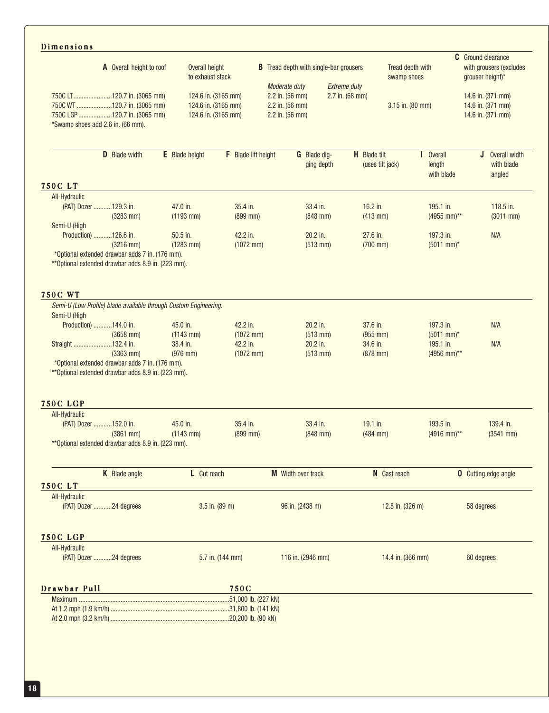# Dimensions

| A Overall height to roof                                                                                                       | Overall height<br>to exhaust stack                                | В                          | Tread depth with single-bar grousers<br>Moderate duty<br><b>Extreme duty</b> | Tread depth with<br>swamp shoes         |                                             | <b>C</b> Ground clearance<br>with grousers (excludes<br>grouser height)* |
|--------------------------------------------------------------------------------------------------------------------------------|-------------------------------------------------------------------|----------------------------|------------------------------------------------------------------------------|-----------------------------------------|---------------------------------------------|--------------------------------------------------------------------------|
| 750C LT120.7 in. (3065 mm)<br>750C WT 120.7 in. (3065 mm)<br>750C LGP 120.7 in. (3065 mm)<br>*Swamp shoes add 2.6 in. (66 mm). | 124.6 in. (3165 mm)<br>124.6 in. (3165 mm)<br>124.6 in. (3165 mm) |                            | 2.2 in. (56 mm)<br>2.2 in. (56 mm)<br>2.2 in. (56 mm)                        | 2.7 in. (68 mm)<br>3.15 in. (80 mm)     |                                             | 14.6 in. (371 mm)<br>14.6 in. (371 mm)<br>14.6 in. (371 mm)              |
| D Blade width                                                                                                                  | <b>E</b> Blade height                                             | <b>F</b> Blade lift height | G Blade dig-<br>ging depth                                                   | <b>H</b> Blade tilt<br>(uses tilt jack) | <b>Overall</b><br>Ш<br>length<br>with blade | J Overall width<br>with blade<br>angled                                  |
| <b>750CLT</b>                                                                                                                  |                                                                   |                            |                                                                              |                                         |                                             |                                                                          |
| All-Hydraulic                                                                                                                  |                                                                   |                            |                                                                              |                                         |                                             | 118.5 in.                                                                |
| (PAT) Dozer 129.3 in.                                                                                                          | 47.0 in.                                                          | 35.4 in.                   | 33.4 in.                                                                     | 16.2 in.                                | 195.1 in.                                   |                                                                          |
| $(3283$ mm)<br>Semi-U (High                                                                                                    | $(1193$ mm)                                                       | $(899$ mm)                 | $(848$ mm $)$                                                                | $(413$ mm)                              | (4955 mm)**                                 | $(3011$ mm)                                                              |
| Production) 126.6 in.                                                                                                          | 50.5 in.                                                          | 42.2 in.                   | 20.2 in.                                                                     | 27.6 in.                                | 197.3 in.                                   | N/A                                                                      |
| $(3216$ mm)                                                                                                                    | $(1283$ mm)                                                       | $(1072$ mm)                | $(513$ mm)                                                                   | $(700$ mm $)$                           | $(5011$ mm)*                                |                                                                          |
| *Optional extended drawbar adds 7 in. (176 mm).<br>** Optional extended drawbar adds 8.9 in. (223 mm).                         |                                                                   |                            |                                                                              |                                         |                                             |                                                                          |
| <b>750C WT</b>                                                                                                                 |                                                                   |                            |                                                                              |                                         |                                             |                                                                          |
| Semi-U (Low Profile) blade available through Custom Engineering.<br>Semi-U (High                                               |                                                                   |                            |                                                                              |                                         |                                             |                                                                          |
| Production) 144.0 in.                                                                                                          | 45.0 in.                                                          | 42.2 in.                   | 20.2 in.                                                                     | 37.6 in.                                | 197.3 in.                                   | N/A                                                                      |
| $(3658$ mm)<br>Straight 132.4 in.                                                                                              | $(1143$ mm)<br>38.4 in.                                           | $(1072$ mm)<br>42.2 in.    | $(513$ mm)<br>20.2 in.                                                       | $(955$ mm)<br>34.6 in.                  | $(5011$ mm)*<br>195.1 in.                   |                                                                          |
| $(3363$ mm)                                                                                                                    | $(976$ mm)                                                        | $(1072$ mm)                | $(513$ mm)                                                                   | $(878$ mm)                              | (4956 mm)**                                 | N/A                                                                      |
| *Optional extended drawbar adds 7 in. (176 mm).                                                                                |                                                                   |                            |                                                                              |                                         |                                             |                                                                          |
| ** Optional extended drawbar adds 8.9 in. (223 mm).                                                                            |                                                                   |                            |                                                                              |                                         |                                             |                                                                          |
| <b>750C LGP</b>                                                                                                                |                                                                   |                            |                                                                              |                                         |                                             |                                                                          |
| All-Hydraulic                                                                                                                  |                                                                   |                            |                                                                              |                                         |                                             |                                                                          |
| (PAT) Dozer 152.0 in.                                                                                                          | 45.0 in.                                                          | 35.4 in.                   | 33.4 in.                                                                     | 19.1 in.                                | 193.5 in.                                   | 139.4 in.                                                                |
| $(3861$ mm)<br>** Optional extended drawbar adds 8.9 in. (223 mm).                                                             | $(1143$ mm)                                                       | $(899$ mm)                 | $(848$ mm)                                                                   | $(484$ mm)                              | (4916 mm)**                                 | $(3541$ mm)                                                              |
| K Blade angle                                                                                                                  | L Cut reach                                                       |                            | M Width over track                                                           | N Cast reach                            |                                             | <b>0</b> Cutting edge angle                                              |
| <b>750CLT</b>                                                                                                                  |                                                                   |                            |                                                                              |                                         |                                             |                                                                          |
| All-Hydraulic<br>(PAT) Dozer 24 degrees                                                                                        |                                                                   | 3.5 in. (89 m)             | 96 in. (2438 m)                                                              | 12.8 in. (326 m)                        |                                             | 58 degrees                                                               |
| <b>750C LGP</b>                                                                                                                |                                                                   |                            |                                                                              |                                         |                                             |                                                                          |
| All-Hydraulic<br>(PAT) Dozer 24 degrees                                                                                        |                                                                   | 5.7 in. (144 mm)           | 116 in. (2946 mm)                                                            | 14.4 in. (366 mm)                       |                                             | 60 degrees                                                               |
| Drawbar Pull                                                                                                                   |                                                                   | 750C                       |                                                                              |                                         |                                             |                                                                          |
| Maximum                                                                                                                        |                                                                   |                            |                                                                              |                                         |                                             |                                                                          |
|                                                                                                                                |                                                                   |                            |                                                                              |                                         |                                             |                                                                          |
|                                                                                                                                |                                                                   |                            |                                                                              |                                         |                                             |                                                                          |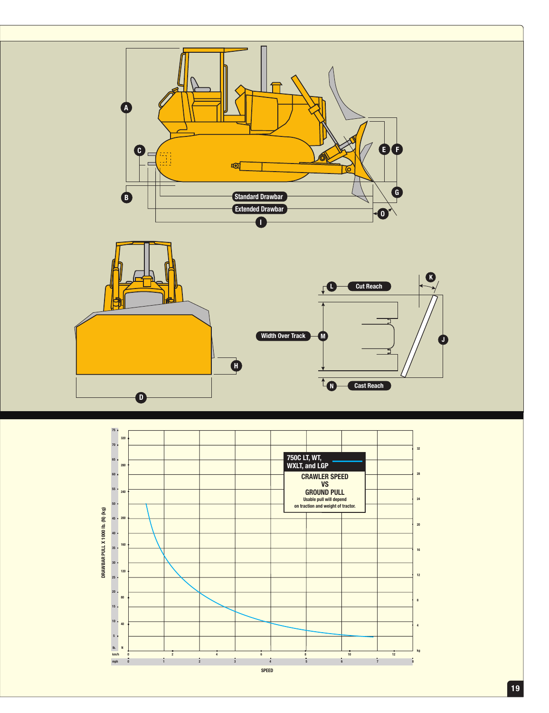